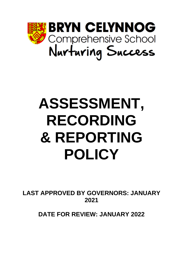

# **ASSESSMENT, RECORDING & REPORTING POLICY**

**LAST APPROVED BY GOVERNORS: JANUARY 2021**

**DATE FOR REVIEW: JANUARY 2022**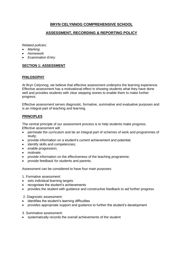# **BRYN CELYNNOG COMPREHENSIVE SCHOOL**

# **ASSESSMENT, RECORDING & REPORTING POLICY**

*Related policies:* 

- *Marking*
- *Homework*
- *Examination Entry*

#### **SECTION 1: ASSESSMENT**

#### **PHILOSOPHY**

At Bryn Celynnog, we believe that effective assessment underpins the learning experience. Effective assessment has a motivational effect in showing students what they have done well and provides students with clear stepping stones to enable them to make further progress.

Effective assessment serves diagnostic, formative, summative and evaluative purposes and is an integral part of teaching and learning.

## **PRINCIPLES**

The central principle of our assessment process is to help students make progress. Effective assessment will:

- permeate the curriculum and be an integral part of schemes of work and programmes of study;
- provide information on a student's current achievement and potential;
- identify skills and competencies;
- enable progression;
- motivate:
- provide information on the effectiveness of the teaching programme:
- provide feedback for students and parents.

Assessment can be considered to have four main purposes:

- 1. Formative assessment:
- sets individual learning targets
- recognises the student's achievements
- provides the student with guidance and constructive feedback to aid further progress

2. Diagnostic assessment:

- identifies the student's learning difficulties
- provides appropriate support and guidance to further the student's development
- 3. Summative assessment:
- systematically records the overall achievements of the student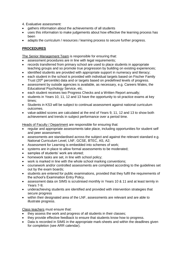- 4. Evaluative assessment:
- gathers information about the achievements of all students
- uses this information to make judgements about how effective the learning process has been
- adapts the curriculum / resources / learning process to secure further progress.

## **PROCEDURES**

The Senior Management Team is responsible for ensuring that:

- assessment procedures are in line with legal requirements;
- records transferred from primary school are used to place students in appropriate teaching groups and so promote true progression by building on existing experiences;
- identified students are provided with appropriate support in numeracy and literacy;
- each student in the school is provided with individual targets based on Fischer Family Trust (20<sup>th</sup> percentile) data and or targets based on predefined levels of progress.
- assessment by outside agencies is available, as necessary, e.g. Careers Wales, the Educational Psychology Service, etc.
- each student receives two Progress Checks and a Written Report annually;
- students in Years 10, 11, 12 and 13 have the opportunity to sit practice exams at key times;
- Students in KS3 will be subject to continual assessment against national curriculum outcomes.
- value-added scores are calculated at the end of Years 9, 11, 12 and 13 to show both achievement and trends in subject performance over a period time.

Heads of Faculty / Department are responsible for ensuring that:

- regular and appropriate assessments take place, including opportunities for student self and peer assessment;
- assessments are standardised across the subject and against the relevant standard e.g. National Curriculum Level, LNF, GCSE, BTEC, AS, A2;
- Assessment for Learning is embedded into schemes of work;
- systems are in place to allow formal assessments to be moderated;
- samples of students' work are stored;
- homework tasks are set, in line with school policy;
- work is marked in line with the whole school marking conventions;
- coursework and/or controlled assessments are completed according to the guidelines set out by the exam boards;
- students are entered for public examinations, provided that they fulfil the requirements of the school's Examination Entry Policy.
- assessment data on SIMS is scrutinised monthly in Years 10 & 11 and at least termly in Years 7-9;
- underachieving students are identified and provided with intervention strategies that secure progress
- within their designated area of the LNF, assessments are relevant and are able to illustrate progress.

Class teachers must ensure that:

- they assess the work and progress of all students in their classes;
- they provide effective feedback to ensure that students know how to progress.
- Data is recorded in SIMS in the appropriate mark-sheets and within the deadlines given for completion (see ARR calendar).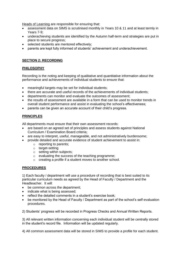Heads of Learning are responsible for ensuring that:

- assessment data on SIMS is scrutinised monthly in Years 10 & 11 and at least termly in Years 7-9;
- underachieving students are identified by the Autumn half-term and strategies are put in place to secure progress;
- selected students are mentored effectively;
- parents are kept fully informed of students' achievement and underachievement.

## **SECTION 2: RECORDING**

#### **PHILOSOPHY**

Recording is the noting and keeping of qualitative and quantitative information about the performance and achievements of individual students to ensure that:

- meaningful targets may be set for individual students;
- there are accurate and useful records of the achievements of individual students;
- departments can monitor and evaluate the outcomes of assessment;
- the results of assessment are available in a form that can be used to monitor trends in overall student performance and assist in evaluating the school's effectiveness;
- parents can be given an accurate account of their child's progress.

# **PRINCIPLES**

All departments must ensure that their own assessment records:

- are based on an agreed set of principles and assess students against National Curriculum / Examination Board criteria;
- are easy to interpret, useful, manageable, and not administratively burdensome;
- provide detailed and accurate evidence of student achievement to assist in:
	- o reporting to parents;
	- o target-setting
	- o setting within subjects;
	- o evaluating the success of the teaching programme;
	- o creating a profile if a student moves to another school.

## **PROCEDURES**

1) Each faculty / department will use a procedure of recording that is best suited to its particular curriculum needs as agreed by the Head of Faculty / Department and the Headteacher. It will:

- be common across the department;
- indicate what is being assessed:
- reflect the detailed comments in a student's exercise book;
- be monitored by the Head of Faculty / Department as part of the school's self-evaluation procedures.

2) Students' progress will be recorded in Progress Checks and Annual Written Reports.

3) All relevant written information concerning each individual student will be centrally stored in the student's record file. Information will be updated regularly.

4) All common assessment data will be stored in SIMS to provide a profile for each student.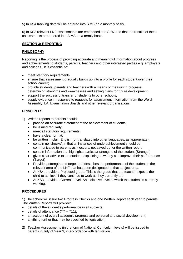5) In KS4 tracking data will be entered into SiMS on a monthly basis.

6) In KS3 relevant LNF assessments are embedded into SoW and that the results of these assessments are entered into SIMS on a termly basis.

#### **SECTION 3: REPORTING**

#### **PHILOSOPHY**

Reporting is the process of providing accurate and meaningful information about progress and achievements to students, parents, teachers and other interested parties e.g. employers and colleges. It is essential to:

- meet statutory requirements;
- ensure that assessment gradually builds up into a profile for each student over their school career;
- provide students, parents and teachers with a means of measuring progress, determining strengths and weaknesses and setting plans for future development;
- support the successful transfer of students to other schools;
- supply evidence in response to requests for assessment information from the Welsh Assembly, LA, Examination Boards and other relevant organisations.

#### **PRINCIPLES**

- 1) Written reports to parents should:
	- provide an accurate statement of the achievement of students;
	- be issued regularly;
	- meet all statutory requirements:
	- have a clear format;
	- be written in plain English (or translated into other languages, as appropriate);
	- contain no 'shocks', in that all instances of underachievement should be communicated to parents as it occurs, not saved up for the written report;
	- contain information that highlights particular strengths of the student (Strength)
	- gives clear advice to the student, explaining how they can improve their performance (Target)
	- Provide a strength and target that describes the performance of the student in the relevant area of the LNF that has been designated to that subject area.
	- At KS4, provide a Projected grade. This is the grade that the teacher expects the child to achieve if they continue to work as they currently are.
	- At KS3, provide a Current Level. An indicative level at which the student is currently working.

## **PROCEDURES**

1) The school will issue two Progress Checks and one Written Report each year to parents. The Written Reports will provide:

- details of the student's performance in all subjects;
- details of attendance (Y7 Y11):
- an account of overall academic progress and personal and social development;
- anything further that may be specified by legislation;
- 2) Teacher Assessments (in the form of National Curriculum levels) will be issued to parents in July of Year 9, in accordance with legislation.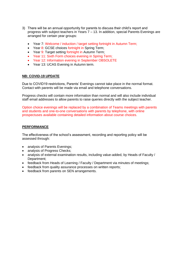- 3) There will be an annual opportunity for parents to discuss their child's report and progress with subject teachers in Years 7 – 13. In addition, special Parents Evenings are arranged for certain year groups:
	- Year 7: Welcome / induction / target setting fortnight in Autumn Term;
	- Year 8: GCSE choices fortnight in Spring Term;
	- Year 9: Target setting fortnight in Autumn Term;
	- Year 11: Sixth Form choices evening in Spring Term;
	- Year 12: Information evening in September OBSOLETE
	- Year 13: UCAS Evening in Autumn term.

#### **NB: COVID-19 UPDATE**

Due to COVID19 restrictions, Parents' Evenings cannot take place in the normal format. Contact with parents will be made via email and telephone conversations.

Progress checks will contain more information than normal and will also include individual staff email addresses to allow parents to raise queries directly with the subject teacher.

Option choice evenings will be replaced by a combination of Teams meetings with parents and students and one-to-one conversations with parents by telephone, with online prospectuses available containing detailed information about course choices.

#### **PERFORMANCE**

The effectiveness of the school's assessment, recording and reporting policy will be assessed through:

- analysis of Parents Evenings;
- analysis of Progress Checks;
- analysis of external examination results, including value-added, by Heads of Faculty / Department;
- feedback from Heads of Learning / Faculty / Department via minutes of meetings;
- feedback from quality assurance processes on written reports;
- feedback from parents on SEN arrangements.